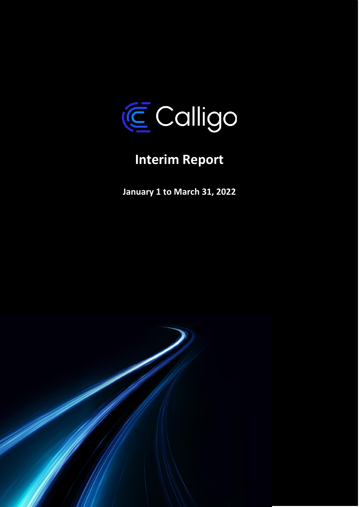

# **Interim Report**

**January 1 to March 31, 2022**

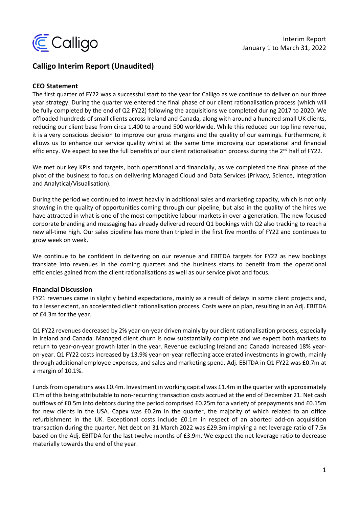

## **Calligo Interim Report (Unaudited)**

#### **CEO Statement**

The first quarter of FY22 was a successful start to the year for Calligo as we continue to deliver on our three year strategy. During the quarter we entered the final phase of our client rationalisation process (which will be fully completed by the end of Q2 FY22) following the acquisitions we completed during 2017 to 2020. We offloaded hundreds of small clients across Ireland and Canada, along with around a hundred small UK clients, reducing our client base from circa 1,400 to around 500 worldwide. While this reduced our top line revenue, it is a very conscious decision to improve our gross margins and the quality of our earnings. Furthermore, it allows us to enhance our service quality whilst at the same time improving our operational and financial efficiency. We expect to see the full benefits of our client rationalisation process during the  $2^{nd}$  half of FY22.

We met our key KPIs and targets, both operational and financially, as we completed the final phase of the pivot of the business to focus on delivering Managed Cloud and Data Services (Privacy, Science, Integration and Analytical/Visualisation).

During the period we continued to invest heavily in additional sales and marketing capacity, which is not only showing in the quality of opportunities coming through our pipeline, but also in the quality of the hires we have attracted in what is one of the most competitive labour markets in over a generation. The new focused corporate branding and messaging has already delivered record Q1 bookings with Q2 also tracking to reach a new all-time high. Our sales pipeline has more than tripled in the first five months of FY22 and continues to grow week on week.

We continue to be confident in delivering on our revenue and EBITDA targets for FY22 as new bookings translate into revenues in the coming quarters and the business starts to benefit from the operational efficiencies gained from the client rationalisations as well as our service pivot and focus.

#### **Financial Discussion**

FY21 revenues came in slightly behind expectations, mainly as a result of delays in some client projects and, to a lesser extent, an accelerated client rationalisation process. Costs were on plan, resulting in an Adj. EBITDA of £4.3m for the year.

Q1 FY22 revenues decreased by 2% year-on-year driven mainly by our client rationalisation process, especially in Ireland and Canada. Managed client churn is now substantially complete and we expect both markets to return to year-on-year growth later in the year. Revenue excluding Ireland and Canada increased 18% yearon-year. Q1 FY22 costs increased by 13.9% year-on-year reflecting accelerated investments in growth, mainly through additional employee expenses, and sales and marketing spend. Adj. EBITDA in Q1 FY22 was £0.7m at a margin of 10.1%.

Funds from operations was £0.4m. Investment in working capital was £1.4m in the quarter with approximately £1m of this being attributable to non-recurring transaction costs accrued at the end of December 21. Net cash outflows of £0.5m into debtors during the period comprised £0.25m for a variety of prepayments and £0.15m for new clients in the USA. Capex was £0.2m in the quarter, the majority of which related to an office refurbishment in the UK. Exceptional costs include £0.1m in respect of an aborted add-on acquisition transaction during the quarter. Net debt on 31 March 2022 was £29.3m implying a net leverage ratio of 7.5x based on the Adj. EBITDA for the last twelve months of £3.9m. We expect the net leverage ratio to decrease materially towards the end of the year.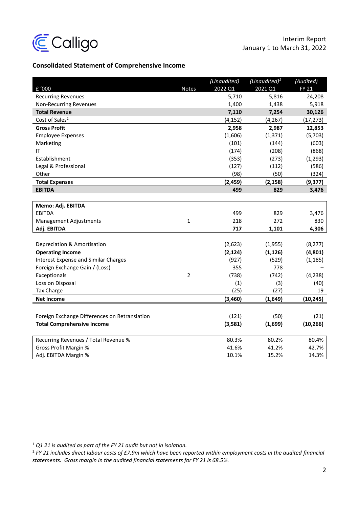

## **Consolidated Statement of Comprehensive Income**

|                                               |                | (Unaudited) | (Unaudited) $1$ | (Audited)    |
|-----------------------------------------------|----------------|-------------|-----------------|--------------|
| £ '000                                        | <b>Notes</b>   | 2022 Q1     | 2021 Q1         | <b>FY 21</b> |
| <b>Recurring Revenues</b>                     |                | 5,710       | 5,816           | 24,208       |
| Non-Recurring Revenues                        |                | 1,400       | 1,438           | 5,918        |
| <b>Total Revenue</b>                          |                | 7,110       | 7,254           | 30,126       |
| Cost of Sales <sup>2</sup>                    |                | (4, 152)    | (4, 267)        | (17,273)     |
| <b>Gross Profit</b>                           |                | 2,958       | 2,987           | 12,853       |
| <b>Employee Expenses</b>                      |                | (1,606)     | (1, 371)        | (5,703)      |
| Marketing                                     |                | (101)       | (144)           | (603)        |
| IT                                            |                | (174)       | (208)           | (868)        |
| Establishment                                 |                | (353)       | (273)           | (1, 293)     |
| Legal & Professional                          |                | (127)       | (112)           | (586)        |
| Other                                         |                | (98)        | (50)            | (324)        |
| <b>Total Expenses</b>                         |                | (2, 459)    | (2, 158)        | (9, 377)     |
| <b>EBITDA</b>                                 |                | 499         | 829             | 3,476        |
|                                               |                |             |                 |              |
| Memo: Adj. EBITDA                             |                |             |                 |              |
| <b>EBITDA</b>                                 |                | 499         | 829             | 3,476        |
| Management Adjustments                        | $\mathbf{1}$   | 218         | 272             | 830          |
| Adj. EBITDA                                   |                | 717         | 1,101           | 4,306        |
|                                               |                |             |                 |              |
| Depreciation & Amortisation                   |                | (2,623)     | (1,955)         | (8, 277)     |
| <b>Operating Income</b>                       |                | (2, 124)    | (1, 126)        | (4, 801)     |
| <b>Interest Expense and Similar Charges</b>   |                | (927)       | (529)           | (1, 185)     |
| Foreign Exchange Gain / (Loss)                |                | 355         | 778             |              |
| Exceptionals                                  | $\overline{2}$ | (738)       | (742)           | (4, 238)     |
| Loss on Disposal                              |                | (1)         | (3)             | (40)         |
| <b>Tax Charge</b>                             |                | (25)        | (27)            | 19           |
| <b>Net Income</b>                             |                | (3,460)     | (1,649)         | (10, 245)    |
|                                               |                |             |                 |              |
| Foreign Exchange Differences on Retranslation |                | (121)       | (50)            | (21)         |
| <b>Total Comprehensive Income</b>             |                | (3,581)     | (1,699)         | (10, 266)    |
|                                               |                |             |                 |              |
| Recurring Revenues / Total Revenue %          |                | 80.3%       | 80.2%           | 80.4%        |
| <b>Gross Profit Margin %</b>                  |                | 41.6%       | 41.2%           | 42.7%        |
| Adj. EBITDA Margin %                          |                | 10.1%       | 15.2%           | 14.3%        |

<sup>1</sup> *Q1 21 is audited as part of the FY 21 audit but not in isolation.*

<sup>2</sup> *FY 21 includes direct labour costs of £7.9m which have been reported within employment costs in the audited financial statements. Gross margin in the audited financial statements for FY 21 is 68.5%.*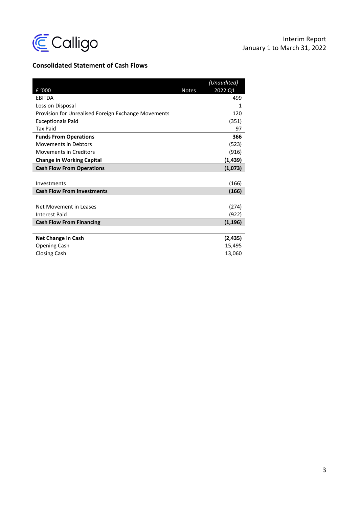

## **Consolidated Statement of Cash Flows**

|                                                     |              | (Unaudited) |
|-----------------------------------------------------|--------------|-------------|
| £ '000                                              | <b>Notes</b> | 2022 Q1     |
| <b>EBITDA</b>                                       |              | 499         |
| Loss on Disposal                                    |              | 1           |
| Provision for Unrealised Foreign Exchange Movements |              | 120         |
| <b>Exceptionals Paid</b>                            |              | (351)       |
| <b>Tax Paid</b>                                     |              | 97          |
| <b>Funds From Operations</b>                        |              | 366         |
| <b>Movements in Debtors</b>                         |              | (523)       |
| <b>Movements in Creditors</b>                       |              | (916)       |
| <b>Change in Working Capital</b>                    |              | (1, 439)    |
| <b>Cash Flow From Operations</b>                    |              | (1,073)     |
|                                                     |              |             |
| Investments                                         |              | (166)       |
| <b>Cash Flow From Investments</b>                   |              | (166)       |
|                                                     |              |             |
| Net Movement in Leases                              |              | (274)       |
| <b>Interest Paid</b>                                |              | (922)       |
| <b>Cash Flow From Financing</b>                     |              | (1, 196)    |
|                                                     |              |             |
| <b>Net Change in Cash</b>                           |              | (2, 435)    |
| <b>Opening Cash</b>                                 |              | 15,495      |
| <b>Closing Cash</b>                                 |              | 13,060      |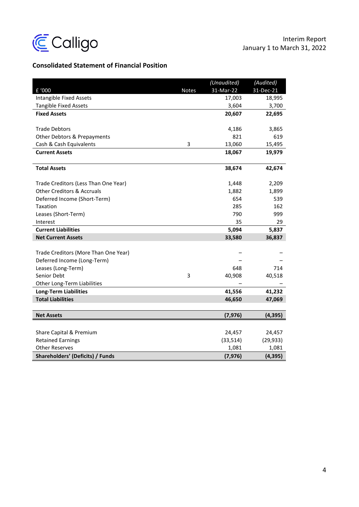

# **Consolidated Statement of Financial Position**

|                                       |              | (Unaudited) | (Audited) |
|---------------------------------------|--------------|-------------|-----------|
| £ '000                                | <b>Notes</b> | 31-Mar-22   | 31-Dec-21 |
| <b>Intangible Fixed Assets</b>        |              | 17,003      | 18,995    |
| <b>Tangible Fixed Assets</b>          |              | 3,604       | 3,700     |
| <b>Fixed Assets</b>                   |              | 20,607      | 22,695    |
|                                       |              |             |           |
| <b>Trade Debtors</b>                  |              | 4,186       | 3,865     |
| Other Debtors & Prepayments           |              | 821         | 619       |
| Cash & Cash Equivalents               | 3            | 13,060      | 15,495    |
| <b>Current Assets</b>                 |              | 18,067      | 19,979    |
|                                       |              |             |           |
| <b>Total Assets</b>                   |              | 38,674      | 42,674    |
| Trade Creditors (Less Than One Year)  |              | 1,448       | 2,209     |
| <b>Other Creditors &amp; Accruals</b> |              | 1,882       | 1,899     |
| Deferred Income (Short-Term)          |              | 654         | 539       |
| Taxation                              |              | 285         | 162       |
| Leases (Short-Term)                   |              | 790         | 999       |
| Interest                              |              | 35          | 29        |
| <b>Current Liabilities</b>            |              | 5,094       | 5,837     |
| <b>Net Current Assets</b>             |              | 33,580      | 36,837    |
|                                       |              |             |           |
| Trade Creditors (More Than One Year)  |              |             |           |
| Deferred Income (Long-Term)           |              |             |           |
| Leases (Long-Term)                    |              | 648         | 714       |
| Senior Debt                           | 3            | 40,908      | 40,518    |
| Other Long-Term Liabilities           |              |             |           |
| <b>Long-Term Liabilities</b>          |              | 41,556      | 41,232    |
| <b>Total Liabilities</b>              |              | 46,650      | 47,069    |
|                                       |              |             |           |
| <b>Net Assets</b>                     |              | (7, 976)    | (4, 395)  |
|                                       |              |             |           |
| Share Capital & Premium               |              | 24,457      | 24,457    |
| <b>Retained Earnings</b>              |              | (33, 514)   | (29, 933) |
| <b>Other Reserves</b>                 |              | 1,081       | 1,081     |
| Shareholders' (Deficits) / Funds      |              | (7, 976)    | (4, 395)  |